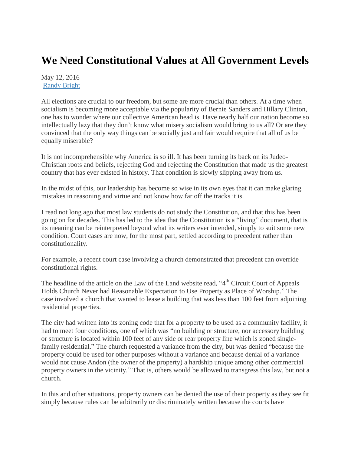## **We Need Constitutional Values at All Government Levels**

May 12, 2016 [Randy Bright](http://tulsabeacon.com/author/randy-bright/)

All elections are crucial to our freedom, but some are more crucial than others. At a time when socialism is becoming more acceptable via the popularity of Bernie Sanders and Hillary Clinton, one has to wonder where our collective American head is. Have nearly half our nation become so intellectually lazy that they don't know what misery socialism would bring to us all? Or are they convinced that the only way things can be socially just and fair would require that all of us be equally miserable?

It is not incomprehensible why America is so ill. It has been turning its back on its Judeo-Christian roots and beliefs, rejecting God and rejecting the Constitution that made us the greatest country that has ever existed in history. That condition is slowly slipping away from us.

In the midst of this, our leadership has become so wise in its own eyes that it can make glaring mistakes in reasoning and virtue and not know how far off the tracks it is.

I read not long ago that most law students do not study the Constitution, and that this has been going on for decades. This has led to the idea that the Constitution is a "living" document, that is its meaning can be reinterpreted beyond what its writers ever intended, simply to suit some new condition. Court cases are now, for the most part, settled according to precedent rather than constitutionality.

For example, a recent court case involving a church demonstrated that precedent can override constitutional rights.

The headline of the article on the Law of the Land website read, "4<sup>th</sup> Circuit Court of Appeals Holds Church Never had Reasonable Expectation to Use Property as Place of Worship." The case involved a church that wanted to lease a building that was less than 100 feet from adjoining residential properties.

The city had written into its zoning code that for a property to be used as a community facility, it had to meet four conditions, one of which was "no building or structure, nor accessory building or structure is located within 100 feet of any side or rear property line which is zoned singlefamily residential." The church requested a variance from the city, but was denied "because the property could be used for other purposes without a variance and because denial of a variance would not cause Andon (the owner of the property) a hardship unique among other commercial property owners in the vicinity." That is, others would be allowed to transgress this law, but not a church.

In this and other situations, property owners can be denied the use of their property as they see fit simply because rules can be arbitrarily or discriminately written because the courts have